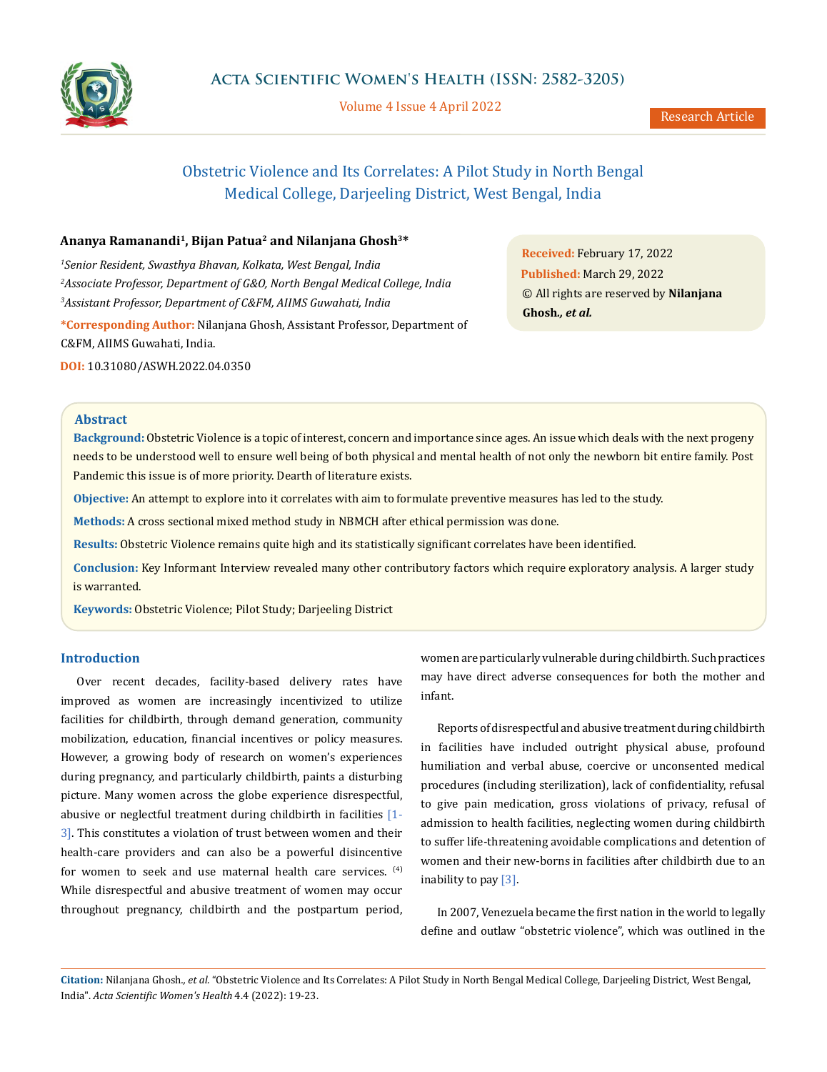

Volume 4 Issue 4 April 2022

Research Article

# Obstetric Violence and Its Correlates: A Pilot Study in North Bengal Medical College, Darjeeling District, West Bengal, India

# **Ananya Ramanandi1, Bijan Patua2 and Nilanjana Ghosh3\***

*1 Senior Resident, Swasthya Bhavan, Kolkata, West Bengal, India 2 Associate Professor, Department of G&O, North Bengal Medical College, India 3 Assistant Professor, Department of C&FM, AIIMS Guwahati, India*

**\*Corresponding Author:** Nilanjana Ghosh, Assistant Professor, Department of C&FM, AIIMS Guwahati, India.

**DOI:** [10.31080/ASWH.2022.04.035](http://actascientific.com/ASWH/pdf/ASWH-04-0350.pdf)0

**Received:** February 17, 2022 **Published:** March 29, 2022 © All rights are reserved by **Nilanjana Ghosh***., et al.*

## **Abstract**

**Background:** Obstetric Violence is a topic of interest, concern and importance since ages. An issue which deals with the next progeny needs to be understood well to ensure well being of both physical and mental health of not only the newborn bit entire family. Post Pandemic this issue is of more priority. Dearth of literature exists.

**Objective:** An attempt to explore into it correlates with aim to formulate preventive measures has led to the study.

**Methods:** A cross sectional mixed method study in NBMCH after ethical permission was done.

**Results:** Obstetric Violence remains quite high and its statistically significant correlates have been identified.

**Conclusion:** Key Informant Interview revealed many other contributory factors which require exploratory analysis. A larger study is warranted.

**Keywords:** Obstetric Violence; Pilot Study; Darjeeling District

# **Introduction**

Over recent decades, facility-based delivery rates have improved as women are increasingly incentivized to utilize facilities for childbirth, through demand generation, community mobilization, education, financial incentives or policy measures. However, a growing body of research on women's experiences during pregnancy, and particularly childbirth, paints a disturbing picture. Many women across the globe experience disrespectful, abusive or neglectful treatment during childbirth in facilities [1- 3]. This constitutes a violation of trust between women and their health-care providers and can also be a powerful disincentive for women to seek and use maternal health care services. <sup>(4)</sup> While disrespectful and abusive treatment of women may occur throughout pregnancy, childbirth and the postpartum period, women are particularly vulnerable during childbirth. Such practices may have direct adverse consequences for both the mother and infant.

Reports of disrespectful and abusive treatment during childbirth in facilities have included outright physical abuse, profound humiliation and verbal abuse, coercive or unconsented medical procedures (including sterilization), lack of confidentiality, refusal to give pain medication, gross violations of privacy, refusal of admission to health facilities, neglecting women during childbirth to suffer life-threatening avoidable complications and detention of women and their new-borns in facilities after childbirth due to an inability to pay [3].

In 2007, Venezuela became the first nation in the world to legally define and outlaw "obstetric violence", which was outlined in the

**Citation:** Nilanjana Ghosh*., et al.* "Obstetric Violence and Its Correlates: A Pilot Study in North Bengal Medical College, Darjeeling District, West Bengal, India". *Acta Scientific Women's Health* 4.4 (2022): 19-23.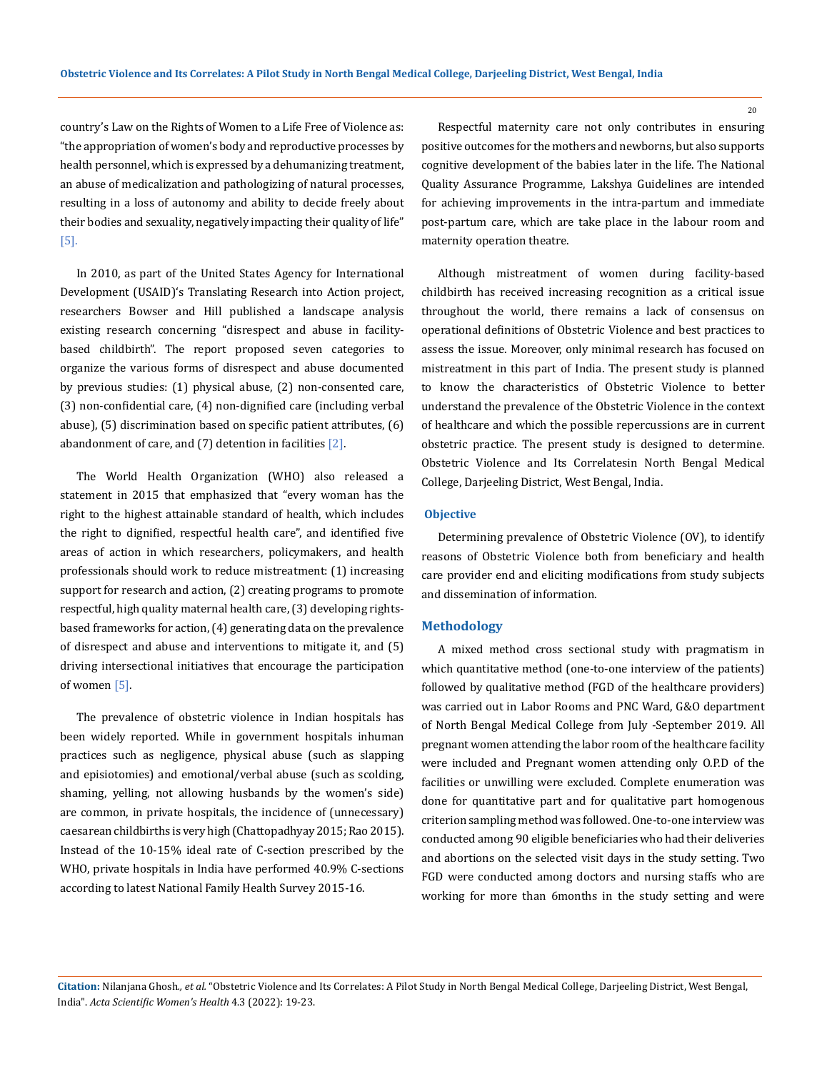country's Law on the Rights of Women to a Life Free of Violence as: "the appropriation of women's body and reproductive processes by health personnel, which is expressed by a dehumanizing treatment, an abuse of medicalization and pathologizing of natural processes, resulting in a loss of autonomy and ability to decide freely about their bodies and sexuality, negatively impacting their quality of life" [5].

In 2010, as part of the United States Agency for International Development (USAID)'s Translating Research into Action project, researchers Bowser and Hill published a landscape analysis existing research concerning "disrespect and abuse in facilitybased childbirth". The report proposed seven categories to organize the various forms of disrespect and abuse documented by previous studies: (1) physical abuse, (2) non-consented care, (3) non-confidential care, (4) non-dignified care (including verbal abuse), (5) discrimination based on specific patient attributes, (6) abandonment of care, and (7) detention in facilities [2].

The World Health Organization (WHO) also released a statement in 2015 that emphasized that "every woman has the right to the highest attainable standard of health, which includes the right to dignified, respectful health care", and identified five areas of action in which researchers, policymakers, and health professionals should work to reduce mistreatment: (1) increasing support for research and action, (2) creating programs to promote respectful, high quality maternal health care, (3) developing rightsbased frameworks for action, (4) generating data on the prevalence of disrespect and abuse and interventions to mitigate it, and (5) driving intersectional initiatives that encourage the participation of women [5].

The prevalence of obstetric violence in Indian hospitals has been widely reported. While in government hospitals inhuman practices such as negligence, physical abuse (such as slapping and episiotomies) and emotional/verbal abuse (such as scolding, shaming, yelling, not allowing husbands by the women's side) are common, in private hospitals, the incidence of (unnecessary) caesarean childbirths is very high (Chattopadhyay 2015; Rao 2015). Instead of the 10-15% ideal rate of C-section prescribed by the WHO, private hospitals in India have performed 40.9% C-sections according to latest National Family Health Survey 2015-16.

Respectful maternity care not only contributes in ensuring positive outcomes for the mothers and newborns, but also supports cognitive development of the babies later in the life. The National Quality Assurance Programme, Lakshya Guidelines are intended for achieving improvements in the intra-partum and immediate post-partum care, which are take place in the labour room and maternity operation theatre.

Although mistreatment of women during facility-based childbirth has received increasing recognition as a critical issue throughout the world, there remains a lack of consensus on operational definitions of Obstetric Violence and best practices to assess the issue. Moreover, only minimal research has focused on mistreatment in this part of India. The present study is planned to know the characteristics of Obstetric Violence to better understand the prevalence of the Obstetric Violence in the context of healthcare and which the possible repercussions are in current obstetric practice. The present study is designed to determine. Obstetric Violence and Its Correlatesin North Bengal Medical College, Darjeeling District, West Bengal, India.

#### **Objective**

Determining prevalence of Obstetric Violence (OV), to identify reasons of Obstetric Violence both from beneficiary and health care provider end and eliciting modifications from study subjects and dissemination of information.

#### **Methodology**

A mixed method cross sectional study with pragmatism in which quantitative method (one-to-one interview of the patients) followed by qualitative method (FGD of the healthcare providers) was carried out in Labor Rooms and PNC Ward, G&O department of North Bengal Medical College from July -September 2019. All pregnant women attending the labor room of the healthcare facility were included and Pregnant women attending only O.P.D of the facilities or unwilling were excluded. Complete enumeration was done for quantitative part and for qualitative part homogenous criterion sampling method was followed. One-to-one interview was conducted among 90 eligible beneficiaries who had their deliveries and abortions on the selected visit days in the study setting. Two FGD were conducted among doctors and nursing staffs who are working for more than 6months in the study setting and were

**Citation:** Nilanjana Ghosh*., et al.* "Obstetric Violence and Its Correlates: A Pilot Study in North Bengal Medical College, Darjeeling District, West Bengal, India". *Acta Scientific Women's Health* 4.3 (2022): 19-23.

20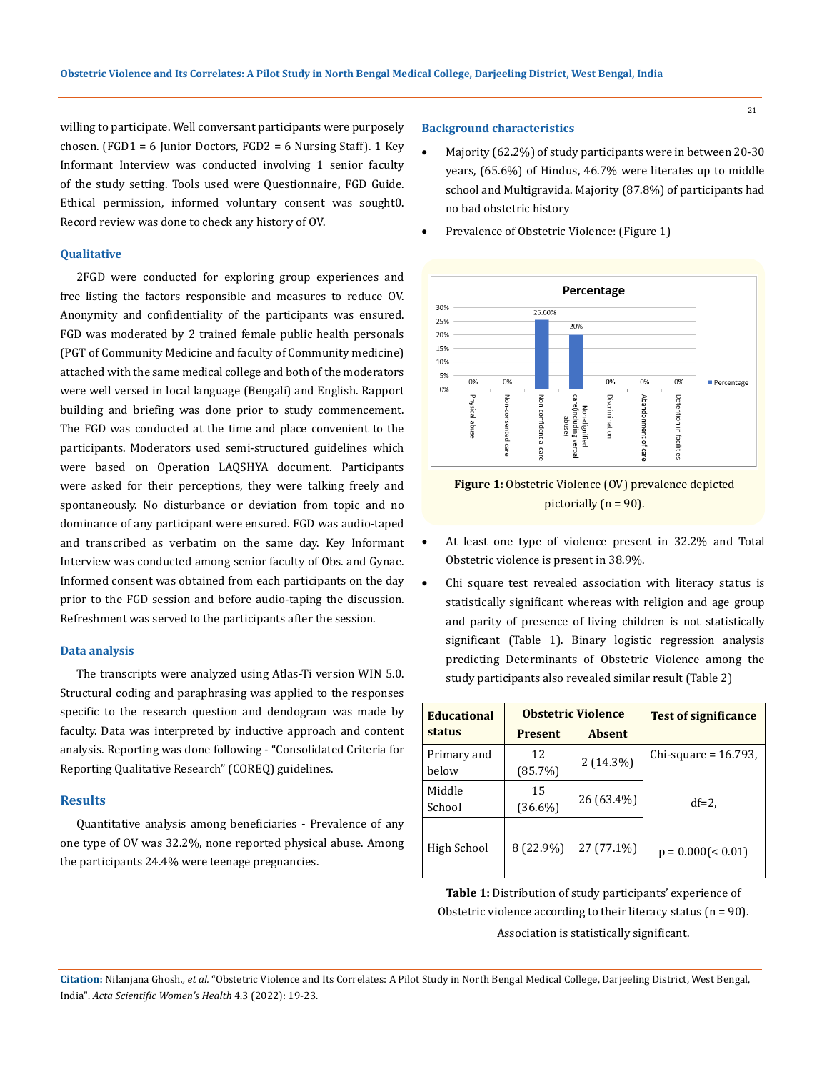21

willing to participate. Well conversant participants were purposely chosen. (FGD1 = 6 Junior Doctors, FGD2 = 6 Nursing Staff). 1 Key Informant Interview was conducted involving 1 senior faculty of the study setting. Tools used were Questionnaire**,** FGD Guide. Ethical permission, informed voluntary consent was sought0. Record review was done to check any history of OV.

# **Qualitative**

2FGD were conducted for exploring group experiences and free listing the factors responsible and measures to reduce OV. Anonymity and confidentiality of the participants was ensured. FGD was moderated by 2 trained female public health personals (PGT of Community Medicine and faculty of Community medicine) attached with the same medical college and both of the moderators were well versed in local language (Bengali) and English. Rapport building and briefing was done prior to study commencement. The FGD was conducted at the time and place convenient to the participants. Moderators used semi-structured guidelines which were based on Operation LAQSHYA document. Participants were asked for their perceptions, they were talking freely and spontaneously. No disturbance or deviation from topic and no dominance of any participant were ensured. FGD was audio-taped and transcribed as verbatim on the same day. Key Informant Interview was conducted among senior faculty of Obs. and Gynae. Informed consent was obtained from each participants on the day prior to the FGD session and before audio-taping the discussion. Refreshment was served to the participants after the session.

#### **Data analysis**

The transcripts were analyzed using Atlas-Ti version WIN 5.0. Structural coding and paraphrasing was applied to the responses specific to the research question and dendogram was made by faculty. Data was interpreted by inductive approach and content analysis. Reporting was done following - "Consolidated Criteria for Reporting Qualitative Research" (COREQ) guidelines.

#### **Results**

Quantitative analysis among beneficiaries - Prevalence of any one type of OV was 32.2%, none reported physical abuse. Among the participants 24.4% were teenage pregnancies.

# **Background characteristics**

- Majority (62.2%) of study participants were in between 20-30 years, (65.6%) of Hindus, 46.7% were literates up to middle school and Multigravida. Majority (87.8%) of participants had no bad obstetric history
- Prevalence of Obstetric Violence: (Figure 1)





- At least one type of violence present in 32.2% and Total Obstetric violence is present in 38.9%.
- Chi square test revealed association with literacy status is statistically significant whereas with religion and age group and parity of presence of living children is not statistically significant (Table 1). Binary logistic regression analysis predicting Determinants of Obstetric Violence among the study participants also revealed similar result (Table 2)

| <b>Educational</b>   | <b>Obstetric Violence</b> |               | <b>Test of significance</b> |
|----------------------|---------------------------|---------------|-----------------------------|
| status               | <b>Present</b>            | <b>Absent</b> |                             |
| Primary and<br>below | 12<br>(85.7%)             | $2(14.3\%)$   | Chi-square = $16.793$ ,     |
| Middle<br>School     | 15<br>$(36.6\%)$          | 26 (63.4%)    | $df=2$ ,                    |
| High School          | 8 (22.9%)                 | 27 (77.1%)    | $p = 0.000(< 0.01)$         |

**Table 1:** Distribution of study participants' experience of Obstetric violence according to their literacy status  $(n = 90)$ . Association is statistically significant.

**Citation:** Nilanjana Ghosh*., et al.* "Obstetric Violence and Its Correlates: A Pilot Study in North Bengal Medical College, Darjeeling District, West Bengal, India". *Acta Scientific Women's Health* 4.3 (2022): 19-23.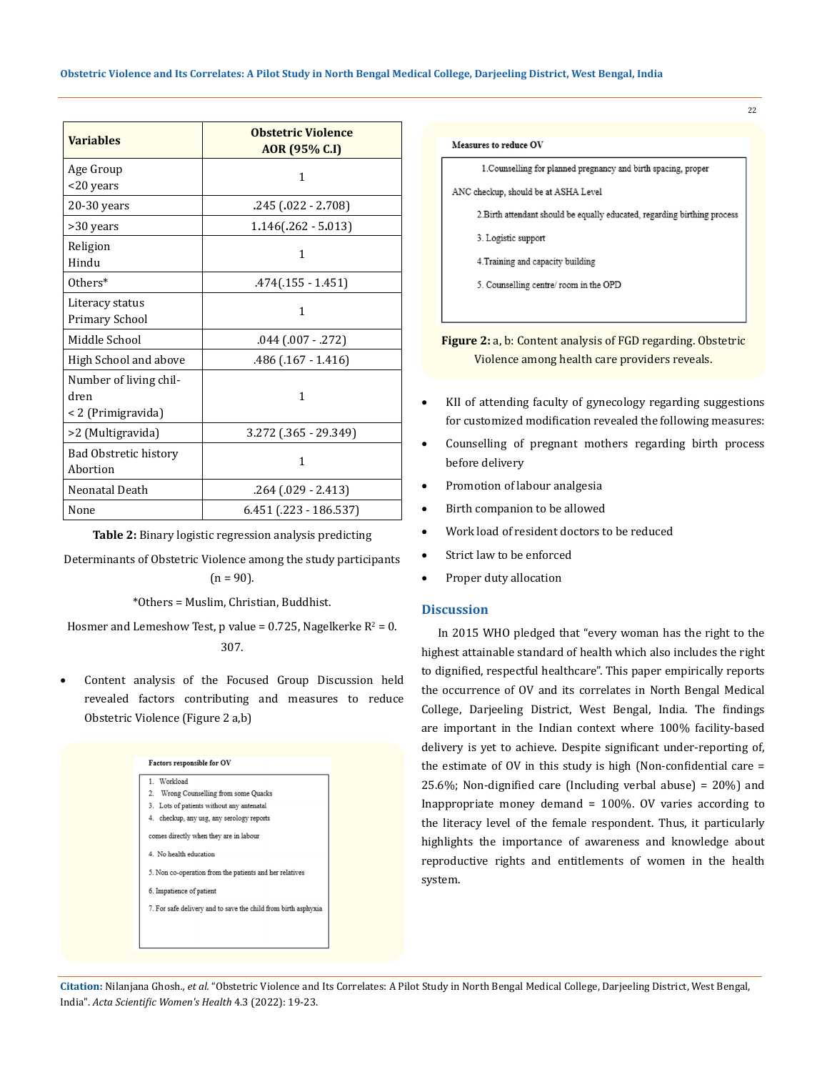| <b>Variables</b>                                     | <b>Obstetric Violence</b><br>AOR (95% C.I) |  |
|------------------------------------------------------|--------------------------------------------|--|
| Age Group<br><20 years                               | 1                                          |  |
| $20-30$ years                                        | .245 (.022 - 2.708)                        |  |
| >30 years                                            | $1.146(.262 - 5.013)$                      |  |
| Religion<br>Hindu                                    | 1                                          |  |
| $0$ thers $*$                                        | $.474(.155 - 1.451)$                       |  |
| Literacy status<br>Primary School                    | 1                                          |  |
| Middle School                                        | .044 (.007 - .272)                         |  |
| High School and above                                | .486 (.167 - 1.416)                        |  |
| Number of living chil-<br>dren<br>< 2 (Primigravida) | $\mathbf{1}$                               |  |
| >2 (Multigravida)                                    | 3.272 (.365 - 29.349)                      |  |
| <b>Bad Obstretic history</b><br>Abortion             | 1                                          |  |
| Neonatal Death                                       | $.264$ $(.029 - 2.413)$                    |  |
| None                                                 | $6.451$ (.223 - 186.537)                   |  |

**Table 2:** Binary logistic regression analysis predicting

Determinants of Obstetric Violence among the study participants

 $(n = 90)$ .

\*Others = Muslim, Christian, Buddhist.

Hosmer and Lemeshow Test,  $p$  value = 0.725, Nagelkerke  $R^2 = 0$ . 307.

Content analysis of the Focused Group Discussion held revealed factors contributing and measures to reduce Obstetric Violence (Figure 2 a,b)



Measures to reduce OV

1. Counselling for planned pregnancy and birth spacing, proper

ANC checkup, should be at ASHA Level

2. Birth attendant should be equally educated, regarding birthing process

3. Logistic support

4. Training and capacity building

5. Counselling centre/room in the OPD

**Figure 2:** a, b: Content analysis of FGD regarding. Obstetric Violence among health care providers reveals.

- KII of attending faculty of gynecology regarding suggestions for customized modification revealed the following measures:
- Counselling of pregnant mothers regarding birth process before delivery
- Promotion of labour analgesia
- Birth companion to be allowed
- Work load of resident doctors to be reduced
- Strict law to be enforced
- • Proper duty allocation

# **Discussion**

In 2015 WHO pledged that "every woman has the right to the highest attainable standard of health which also includes the right to dignified, respectful healthcare". This paper empirically reports the occurrence of OV and its correlates in North Bengal Medical College, Darjeeling District, West Bengal, India. The findings are important in the Indian context where 100% facility-based delivery is yet to achieve. Despite significant under-reporting of, the estimate of OV in this study is high (Non-confidential care = 25.6%; Non-dignified care (Including verbal abuse) = 20%) and Inappropriate money demand = 100%. OV varies according to the literacy level of the female respondent. Thus, it particularly highlights the importance of awareness and knowledge about reproductive rights and entitlements of women in the health system.

**Citation:** Nilanjana Ghosh*., et al.* "Obstetric Violence and Its Correlates: A Pilot Study in North Bengal Medical College, Darjeeling District, West Bengal, India". *Acta Scientific Women's Health* 4.3 (2022): 19-23.